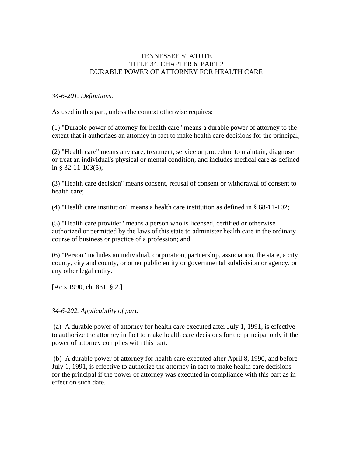## TENNESSEE STATUTE TITLE 34, CHAPTER 6, PART 2 DURABLE POWER OF ATTORNEY FOR HEALTH CARE

#### *34-6-201. Definitions.*

As used in this part, unless the context otherwise requires:

(1) "Durable power of attorney for health care" means a durable power of attorney to the extent that it authorizes an attorney in fact to make health care decisions for the principal;

(2) "Health care" means any care, treatment, service or procedure to maintain, diagnose or treat an individual's physical or mental condition, and includes medical care as defined in § 32-11-103(5);

(3) "Health care decision" means consent, refusal of consent or withdrawal of consent to health care;

(4) "Health care institution" means a health care institution as defined in § 68-11-102;

(5) "Health care provider" means a person who is licensed, certified or otherwise authorized or permitted by the laws of this state to administer health care in the ordinary course of business or practice of a profession; and

(6) "Person" includes an individual, corporation, partnership, association, the state, a city, county, city and county, or other public entity or governmental subdivision or agency, or any other legal entity.

[Acts 1990, ch. 831, § 2.]

## *34-6-202. Applicability of part.*

 (a) A durable power of attorney for health care executed after July 1, 1991, is effective to authorize the attorney in fact to make health care decisions for the principal only if the power of attorney complies with this part.

 (b) A durable power of attorney for health care executed after April 8, 1990, and before July 1, 1991, is effective to authorize the attorney in fact to make health care decisions for the principal if the power of attorney was executed in compliance with this part as in effect on such date.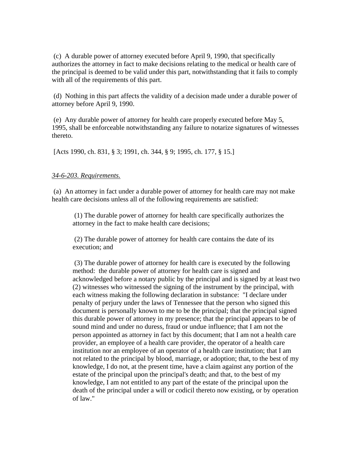(c) A durable power of attorney executed before April 9, 1990, that specifically authorizes the attorney in fact to make decisions relating to the medical or health care of the principal is deemed to be valid under this part, notwithstanding that it fails to comply with all of the requirements of this part.

 (d) Nothing in this part affects the validity of a decision made under a durable power of attorney before April 9, 1990.

 (e) Any durable power of attorney for health care properly executed before May 5, 1995, shall be enforceable notwithstanding any failure to notarize signatures of witnesses thereto.

[Acts 1990, ch. 831, § 3; 1991, ch. 344, § 9; 1995, ch. 177, § 15.]

## *34-6-203. Requirements.*

 (a) An attorney in fact under a durable power of attorney for health care may not make health care decisions unless all of the following requirements are satisfied:

 (1) The durable power of attorney for health care specifically authorizes the attorney in the fact to make health care decisions;

 (2) The durable power of attorney for health care contains the date of its execution; and

 (3) The durable power of attorney for health care is executed by the following method: the durable power of attorney for health care is signed and acknowledged before a notary public by the principal and is signed by at least two (2) witnesses who witnessed the signing of the instrument by the principal, with each witness making the following declaration in substance: "I declare under penalty of perjury under the laws of Tennessee that the person who signed this document is personally known to me to be the principal; that the principal signed this durable power of attorney in my presence; that the principal appears to be of sound mind and under no duress, fraud or undue influence; that I am not the person appointed as attorney in fact by this document; that I am not a health care provider, an employee of a health care provider, the operator of a health care institution nor an employee of an operator of a health care institution; that I am not related to the principal by blood, marriage, or adoption; that, to the best of my knowledge, I do not, at the present time, have a claim against any portion of the estate of the principal upon the principal's death; and that, to the best of my knowledge, I am not entitled to any part of the estate of the principal upon the death of the principal under a will or codicil thereto now existing, or by operation of law."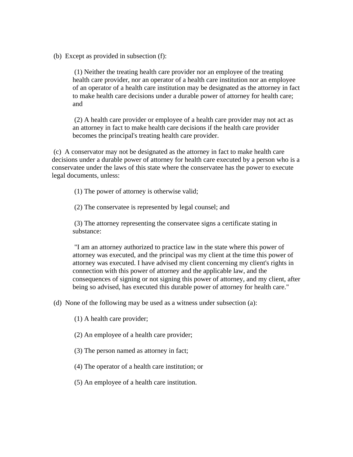(b) Except as provided in subsection (f):

 (1) Neither the treating health care provider nor an employee of the treating health care provider, nor an operator of a health care institution nor an employee of an operator of a health care institution may be designated as the attorney in fact to make health care decisions under a durable power of attorney for health care; and

 (2) A health care provider or employee of a health care provider may not act as an attorney in fact to make health care decisions if the health care provider becomes the principal's treating health care provider.

 (c) A conservator may not be designated as the attorney in fact to make health care decisions under a durable power of attorney for health care executed by a person who is a conservatee under the laws of this state where the conservatee has the power to execute legal documents, unless:

(1) The power of attorney is otherwise valid;

(2) The conservatee is represented by legal counsel; and

 (3) The attorney representing the conservatee signs a certificate stating in substance:

 "I am an attorney authorized to practice law in the state where this power of attorney was executed, and the principal was my client at the time this power of attorney was executed. I have advised my client concerning my client's rights in connection with this power of attorney and the applicable law, and the consequences of signing or not signing this power of attorney, and my client, after being so advised, has executed this durable power of attorney for health care."

- (d) None of the following may be used as a witness under subsection (a):
	- (1) A health care provider;
	- (2) An employee of a health care provider;
	- (3) The person named as attorney in fact;
	- (4) The operator of a health care institution; or
	- (5) An employee of a health care institution.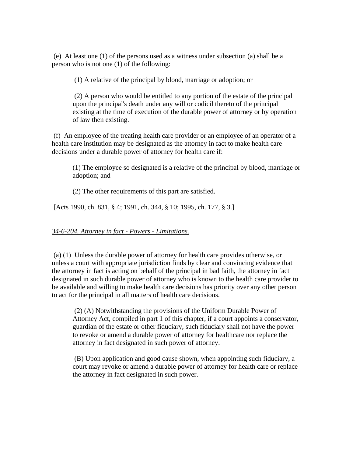(e) At least one (1) of the persons used as a witness under subsection (a) shall be a person who is not one (1) of the following:

(1) A relative of the principal by blood, marriage or adoption; or

 (2) A person who would be entitled to any portion of the estate of the principal upon the principal's death under any will or codicil thereto of the principal existing at the time of execution of the durable power of attorney or by operation of law then existing.

 (f) An employee of the treating health care provider or an employee of an operator of a health care institution may be designated as the attorney in fact to make health care decisions under a durable power of attorney for health care if:

(1) The employee so designated is a relative of the principal by blood, marriage or adoption; and

(2) The other requirements of this part are satisfied.

[Acts 1990, ch. 831, § 4; 1991, ch. 344, § 10; 1995, ch. 177, § 3.]

*34-6-204. Attorney in fact - Powers - Limitations.*

 (a) (1) Unless the durable power of attorney for health care provides otherwise, or unless a court with appropriate jurisdiction finds by clear and convincing evidence that the attorney in fact is acting on behalf of the principal in bad faith, the attorney in fact designated in such durable power of attorney who is known to the health care provider to be available and willing to make health care decisions has priority over any other person to act for the principal in all matters of health care decisions.

 (2) (A) Notwithstanding the provisions of the Uniform Durable Power of Attorney Act, compiled in part 1 of this chapter, if a court appoints a conservator, guardian of the estate or other fiduciary, such fiduciary shall not have the power to revoke or amend a durable power of attorney for healthcare nor replace the attorney in fact designated in such power of attorney.

 (B) Upon application and good cause shown, when appointing such fiduciary, a court may revoke or amend a durable power of attorney for health care or replace the attorney in fact designated in such power.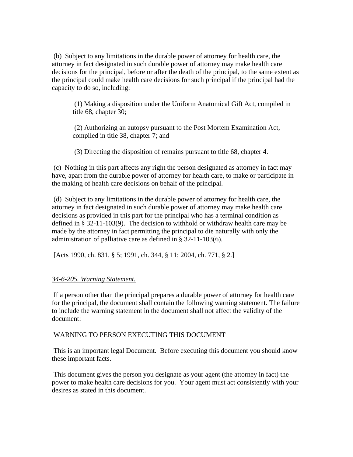(b) Subject to any limitations in the durable power of attorney for health care, the attorney in fact designated in such durable power of attorney may make health care decisions for the principal, before or after the death of the principal, to the same extent as the principal could make health care decisions for such principal if the principal had the capacity to do so, including:

 (1) Making a disposition under the Uniform Anatomical Gift Act, compiled in title 68, chapter 30;

 (2) Authorizing an autopsy pursuant to the Post Mortem Examination Act, compiled in title 38, chapter 7; and

(3) Directing the disposition of remains pursuant to title 68, chapter 4.

 (c) Nothing in this part affects any right the person designated as attorney in fact may have, apart from the durable power of attorney for health care, to make or participate in the making of health care decisions on behalf of the principal.

 (d) Subject to any limitations in the durable power of attorney for health care, the attorney in fact designated in such durable power of attorney may make health care decisions as provided in this part for the principal who has a terminal condition as defined in § 32-11-103(9). The decision to withhold or withdraw health care may be made by the attorney in fact permitting the principal to die naturally with only the administration of palliative care as defined in § 32-11-103(6).

[Acts 1990, ch. 831, § 5; 1991, ch. 344, § 11; 2004, ch. 771, § 2.]

# *34-6-205. Warning Statement.*

 If a person other than the principal prepares a durable power of attorney for health care for the principal, the document shall contain the following warning statement. The failure to include the warning statement in the document shall not affect the validity of the document:

# WARNING TO PERSON EXECUTING THIS DOCUMENT

 This is an important legal Document. Before executing this document you should know these important facts.

 This document gives the person you designate as your agent (the attorney in fact) the power to make health care decisions for you. Your agent must act consistently with your desires as stated in this document.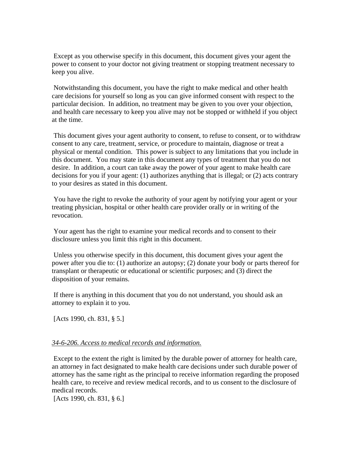Except as you otherwise specify in this document, this document gives your agent the power to consent to your doctor not giving treatment or stopping treatment necessary to keep you alive.

 Notwithstanding this document, you have the right to make medical and other health care decisions for yourself so long as you can give informed consent with respect to the particular decision. In addition, no treatment may be given to you over your objection, and health care necessary to keep you alive may not be stopped or withheld if you object at the time.

 This document gives your agent authority to consent, to refuse to consent, or to withdraw consent to any care, treatment, service, or procedure to maintain, diagnose or treat a physical or mental condition. This power is subject to any limitations that you include in this document. You may state in this document any types of treatment that you do not desire. In addition, a court can take away the power of your agent to make health care decisions for you if your agent: (1) authorizes anything that is illegal; or (2) acts contrary to your desires as stated in this document.

 You have the right to revoke the authority of your agent by notifying your agent or your treating physician, hospital or other health care provider orally or in writing of the revocation.

 Your agent has the right to examine your medical records and to consent to their disclosure unless you limit this right in this document.

 Unless you otherwise specify in this document, this document gives your agent the power after you die to: (1) authorize an autopsy; (2) donate your body or parts thereof for transplant or therapeutic or educational or scientific purposes; and (3) direct the disposition of your remains.

 If there is anything in this document that you do not understand, you should ask an attorney to explain it to you.

[Acts 1990, ch. 831, § 5.]

## *34-6-206. Access to medical records and information.*

 Except to the extent the right is limited by the durable power of attorney for health care, an attorney in fact designated to make health care decisions under such durable power of attorney has the same right as the principal to receive information regarding the proposed health care, to receive and review medical records, and to us consent to the disclosure of medical records.

[Acts 1990, ch. 831, § 6.]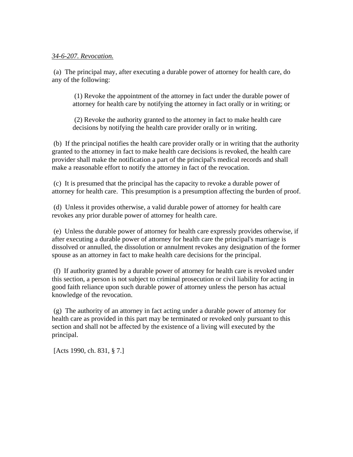#### *34-6-207. Revocation.*

 (a) The principal may, after executing a durable power of attorney for health care, do any of the following:

 (1) Revoke the appointment of the attorney in fact under the durable power of attorney for health care by notifying the attorney in fact orally or in writing; or

 (2) Revoke the authority granted to the attorney in fact to make health care decisions by notifying the health care provider orally or in writing.

 (b) If the principal notifies the health care provider orally or in writing that the authority granted to the attorney in fact to make health care decisions is revoked, the health care provider shall make the notification a part of the principal's medical records and shall make a reasonable effort to notify the attorney in fact of the revocation.

 (c) It is presumed that the principal has the capacity to revoke a durable power of attorney for health care. This presumption is a presumption affecting the burden of proof.

 (d) Unless it provides otherwise, a valid durable power of attorney for health care revokes any prior durable power of attorney for health care.

 (e) Unless the durable power of attorney for health care expressly provides otherwise, if after executing a durable power of attorney for health care the principal's marriage is dissolved or annulled, the dissolution or annulment revokes any designation of the former spouse as an attorney in fact to make health care decisions for the principal.

 (f) If authority granted by a durable power of attorney for health care is revoked under this section, a person is not subject to criminal prosecution or civil liability for acting in good faith reliance upon such durable power of attorney unless the person has actual knowledge of the revocation.

 (g) The authority of an attorney in fact acting under a durable power of attorney for health care as provided in this part may be terminated or revoked only pursuant to this section and shall not be affected by the existence of a living will executed by the principal.

[Acts 1990, ch. 831, § 7.]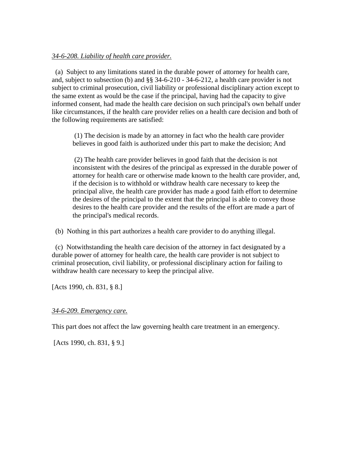#### *34-6-208. Liability of health care provider.*

 (a) Subject to any limitations stated in the durable power of attorney for health care, and, subject to subsection (b) and §§ 34-6-210 - 34-6-212, a health care provider is not subject to criminal prosecution, civil liability or professional disciplinary action except to the same extent as would be the case if the principal, having had the capacity to give informed consent, had made the health care decision on such principal's own behalf under like circumstances, if the health care provider relies on a health care decision and both of the following requirements are satisfied:

 (1) The decision is made by an attorney in fact who the health care provider believes in good faith is authorized under this part to make the decision; And

 (2) The health care provider believes in good faith that the decision is not inconsistent with the desires of the principal as expressed in the durable power of attorney for health care or otherwise made known to the health care provider, and, if the decision is to withhold or withdraw health care necessary to keep the principal alive, the health care provider has made a good faith effort to determine the desires of the principal to the extent that the principal is able to convey those desires to the health care provider and the results of the effort are made a part of the principal's medical records.

(b) Nothing in this part authorizes a health care provider to do anything illegal.

 (c) Notwithstanding the health care decision of the attorney in fact designated by a durable power of attorney for health care, the health care provider is not subject to criminal prosecution, civil liability, or professional disciplinary action for failing to withdraw health care necessary to keep the principal alive.

[Acts 1990, ch. 831, § 8.]

## *34-6-209. Emergency care.*

This part does not affect the law governing health care treatment in an emergency.

[Acts 1990, ch. 831, § 9.]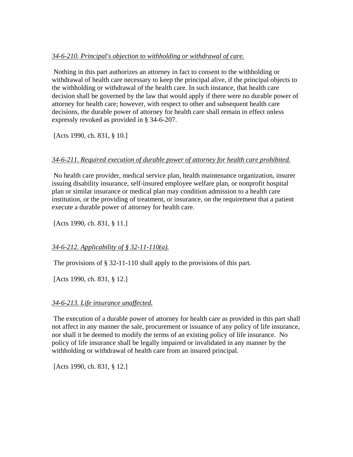# *34-6-210. Principal's objection to withholding or withdrawal of care.*

 Nothing in this part authorizes an attorney in fact to consent to the withholding or withdrawal of health care necessary to keep the principal alive, if the principal objects to the withholding or withdrawal of the health care. In such instance, that health care decision shall be governed by the law that would apply if there were no durable power of attorney for health care; however, with respect to other and subsequent health care decisions, the durable power of attorney for health care shall remain in effect unless expressly revoked as provided in § 34-6-207.

[Acts 1990, ch. 831, § 10.]

# *34-6-211. Required execution of durable power of attorney for health care prohibited.*

 No health care provider, medical service plan, health maintenance organization, insurer issuing disability insurance, self-insured employee welfare plan, or nonprofit hospital plan or similar insurance or medical plan may condition admission to a health care institution, or the providing of treatment, or insurance, on the requirement that a patient execute a durable power of attorney for health care.

[Acts 1990, ch. 831, § 11.]

*34-6-212. Applicability of § 32-11-110(a).*

The provisions of § 32-11-110 shall apply to the provisions of this part.

[Acts 1990, ch. 831, § 12.]

## *34-6-213. Life insurance unaffected.*

 The execution of a durable power of attorney for health care as provided in this part shall not affect in any manner the sale, procurement or issuance of any policy of life insurance, nor shall it be deemed to modify the terms of an existing policy of life insurance. No policy of life insurance shall be legally impaired or invalidated in any manner by the withholding or withdrawal of health care from an insured principal.

[Acts 1990, ch. 831, § 12.]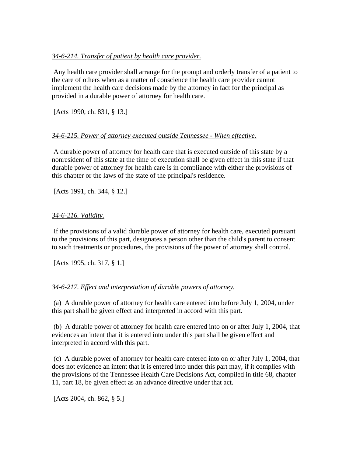# *34-6-214. Transfer of patient by health care provider.*

 Any health care provider shall arrange for the prompt and orderly transfer of a patient to the care of others when as a matter of conscience the health care provider cannot implement the health care decisions made by the attorney in fact for the principal as provided in a durable power of attorney for health care.

[Acts 1990, ch. 831, § 13.]

# *34-6-215. Power of attorney executed outside Tennessee - When effective.*

 A durable power of attorney for health care that is executed outside of this state by a nonresident of this state at the time of execution shall be given effect in this state if that durable power of attorney for health care is in compliance with either the provisions of this chapter or the laws of the state of the principal's residence.

[Acts 1991, ch. 344, § 12.]

## *34-6-216. Validity.*

 If the provisions of a valid durable power of attorney for health care, executed pursuant to the provisions of this part, designates a person other than the child's parent to consent to such treatments or procedures, the provisions of the power of attorney shall control.

[Acts 1995, ch. 317, § 1.]

# *34-6-217. Effect and interpretation of durable powers of attorney.*

 (a) A durable power of attorney for health care entered into before July 1, 2004, under this part shall be given effect and interpreted in accord with this part.

 (b) A durable power of attorney for health care entered into on or after July 1, 2004, that evidences an intent that it is entered into under this part shall be given effect and interpreted in accord with this part.

 (c) A durable power of attorney for health care entered into on or after July 1, 2004, that does not evidence an intent that it is entered into under this part may, if it complies with the provisions of the Tennessee Health Care Decisions Act, compiled in title 68, chapter 11, part 18, be given effect as an advance directive under that act.

[Acts 2004, ch. 862, § 5.]